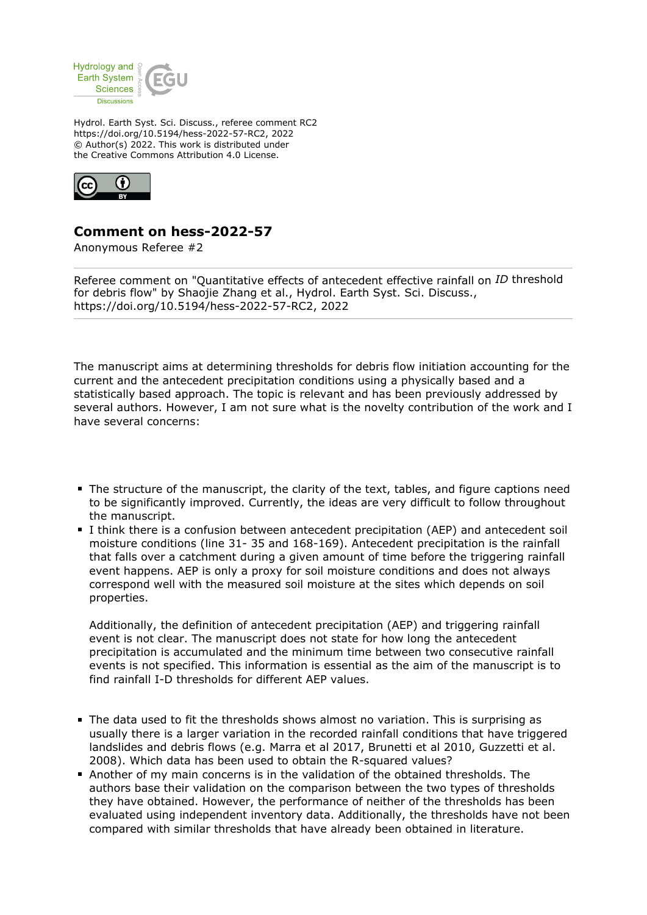

Hydrol. Earth Syst. Sci. Discuss., referee comment RC2 https://doi.org/10.5194/hess-2022-57-RC2, 2022 © Author(s) 2022. This work is distributed under the Creative Commons Attribution 4.0 License.



## **Comment on hess-2022-57**

Anonymous Referee #2

Referee comment on "Quantitative effects of antecedent effective rainfall on *ID* threshold for debris flow" by Shaojie Zhang et al., Hydrol. Earth Syst. Sci. Discuss., https://doi.org/10.5194/hess-2022-57-RC2, 2022

The manuscript aims at determining thresholds for debris flow initiation accounting for the current and the antecedent precipitation conditions using a physically based and a statistically based approach. The topic is relevant and has been previously addressed by several authors. However, I am not sure what is the novelty contribution of the work and I have several concerns:

- The structure of the manuscript, the clarity of the text, tables, and figure captions need to be significantly improved. Currently, the ideas are very difficult to follow throughout the manuscript.
- I think there is a confusion between antecedent precipitation (AEP) and antecedent soil moisture conditions (line 31- 35 and 168-169). Antecedent precipitation is the rainfall that falls over a catchment during a given amount of time before the triggering rainfall event happens. AEP is only a proxy for soil moisture conditions and does not always correspond well with the measured soil moisture at the sites which depends on soil properties.

Additionally, the definition of antecedent precipitation (AEP) and triggering rainfall event is not clear. The manuscript does not state for how long the antecedent precipitation is accumulated and the minimum time between two consecutive rainfall events is not specified. This information is essential as the aim of the manuscript is to find rainfall I-D thresholds for different AEP values.

- The data used to fit the thresholds shows almost no variation. This is surprising as usually there is a larger variation in the recorded rainfall conditions that have triggered landslides and debris flows (e.g. Marra et al 2017, Brunetti et al 2010, Guzzetti et al. 2008). Which data has been used to obtain the R-squared values?
- Another of my main concerns is in the validation of the obtained thresholds. The authors base their validation on the comparison between the two types of thresholds they have obtained. However, the performance of neither of the thresholds has been evaluated using independent inventory data. Additionally, the thresholds have not been compared with similar thresholds that have already been obtained in literature.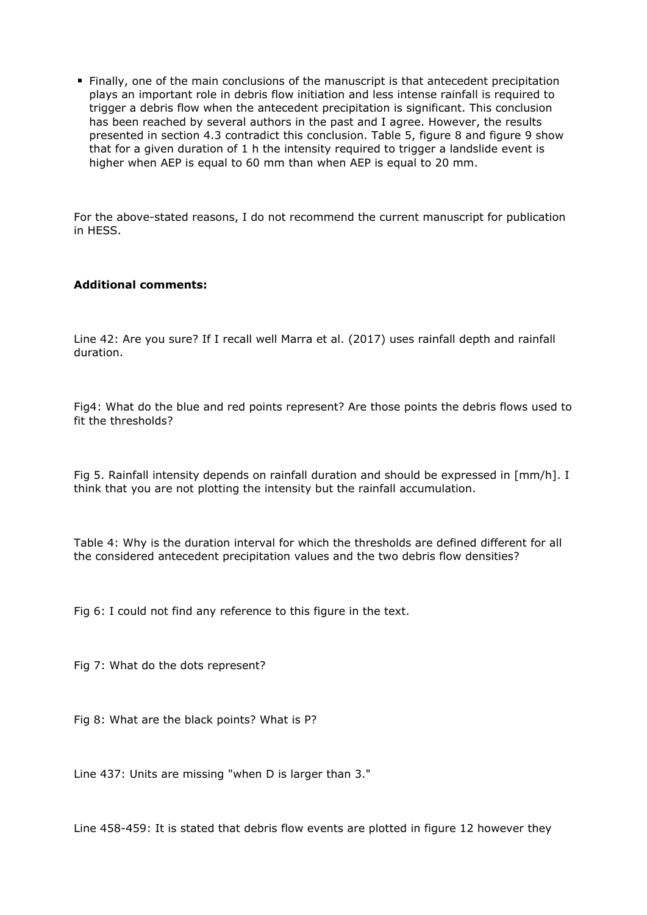Finally, one of the main conclusions of the manuscript is that antecedent precipitation plays an important role in debris flow initiation and less intense rainfall is required to trigger a debris flow when the antecedent precipitation is significant. This conclusion has been reached by several authors in the past and I agree. However, the results presented in section 4.3 contradict this conclusion. Table 5, figure 8 and figure 9 show that for a given duration of 1 h the intensity required to trigger a landslide event is higher when AEP is equal to 60 mm than when AEP is equal to 20 mm.

For the above-stated reasons, I do not recommend the current manuscript for publication in HESS.

## **Additional comments:**

Line 42: Are you sure? If I recall well Marra et al. (2017) uses rainfall depth and rainfall duration.

Fig4: What do the blue and red points represent? Are those points the debris flows used to fit the thresholds?

Fig 5. Rainfall intensity depends on rainfall duration and should be expressed in [mm/h]. I think that you are not plotting the intensity but the rainfall accumulation.

Table 4: Why is the duration interval for which the thresholds are defined different for all the considered antecedent precipitation values and the two debris flow densities?

Fig 6: I could not find any reference to this figure in the text.

Fig 7: What do the dots represent?

Fig 8: What are the black points? What is P?

Line 437: Units are missing "when D is larger than 3."

Line 458-459: It is stated that debris flow events are plotted in figure 12 however they